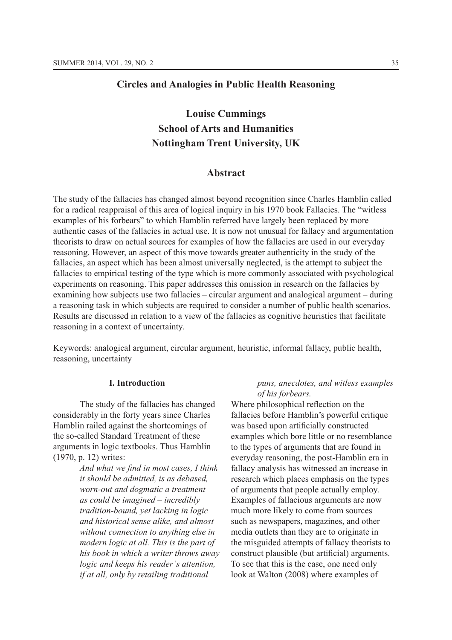# **Circles and Analogies in Public Health Reasoning**

# **Louise Cummings School of Arts and Humanities Nottingham Trent University, UK**

# **Abstract**

The study of the fallacies has changed almost beyond recognition since Charles Hamblin called for a radical reappraisal of this area of logical inquiry in his 1970 book Fallacies. The "witless examples of his forbears" to which Hamblin referred have largely been replaced by more authentic cases of the fallacies in actual use. It is now not unusual for fallacy and argumentation theorists to draw on actual sources for examples of how the fallacies are used in our everyday reasoning. However, an aspect of this move towards greater authenticity in the study of the fallacies, an aspect which has been almost universally neglected, is the attempt to subject the fallacies to empirical testing of the type which is more commonly associated with psychological experiments on reasoning. This paper addresses this omission in research on the fallacies by examining how subjects use two fallacies – circular argument and analogical argument – during a reasoning task in which subjects are required to consider a number of public health scenarios. Results are discussed in relation to a view of the fallacies as cognitive heuristics that facilitate reasoning in a context of uncertainty.

Keywords: analogical argument, circular argument, heuristic, informal fallacy, public health, reasoning, uncertainty

#### **I. Introduction**

The study of the fallacies has changed considerably in the forty years since Charles Hamblin railed against the shortcomings of the so-called Standard Treatment of these arguments in logic textbooks. Thus Hamblin  $(1970, p. 12)$  writes:

> And what we find in most cases, I think *it should be admitted, is as debased, worn-out and dogmatic a treatment as could be imagined – incredibly tradition-bound, yet lacking in logic and historical sense alike, and almost without connection to anything else in modern logic at all. This is the part of his book in which a writer throws away logic and keeps his reader's attention, if at all, only by retailing traditional*

# *puns, anecdotes, and witless examples of his forbears.*

Where philosophical reflection on the fallacies before Hamblin's powerful critique was based upon artificially constructed examples which bore little or no resemblance to the types of arguments that are found in everyday reasoning, the post-Hamblin era in fallacy analysis has witnessed an increase in research which places emphasis on the types of arguments that people actually employ. Examples of fallacious arguments are now much more likely to come from sources such as newspapers, magazines, and other media outlets than they are to originate in the misguided attempts of fallacy theorists to construct plausible (but artificial) arguments. To see that this is the case, one need only look at Walton (2008) where examples of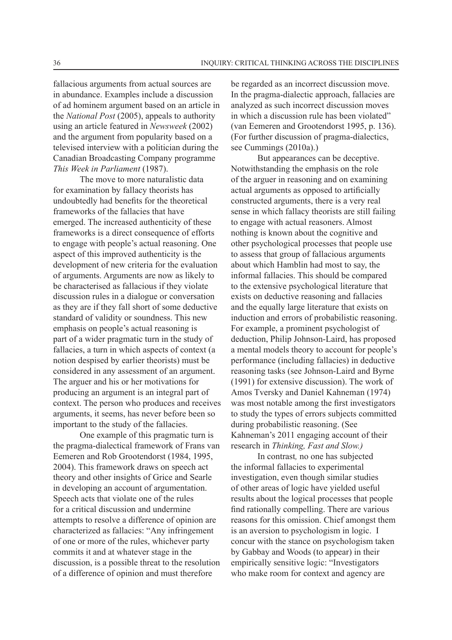fallacious arguments from actual sources are in abundance. Examples include a discussion of ad hominem argument based on an article in the *National Post* (2005), appeals to authority using an article featured in *Newsweek* and the argument from popularity based on a televised interview with a politician during the Canadian Broadcasting Company programme *This Week in Parliament* 

The move to more naturalistic data for examination by fallacy theorists has undoubtedly had benefits for the theoretical frameworks of the fallacies that have emerged. The increased authenticity of these frameworks is a direct consequence of efforts to engage with people's actual reasoning. One aspect of this improved authenticity is the development of new criteria for the evaluation of arguments. Arguments are now as likely to be characterised as fallacious if they violate discussion rules in a dialogue or conversation as they are if they fall short of some deductive standard of validity or soundness. This new emphasis on people's actual reasoning is part of a wider pragmatic turn in the study of fallacies, a turn in which aspects of context (a notion despised by earlier theorists) must be considered in any assessment of an argument. The arguer and his or her motivations for producing an argument is an integral part of context. The person who produces and receives arguments, it seems, has never before been so important to the study of the fallacies.

One example of this pragmatic turn is the pragma-dialectical framework of Frans van Eemeren and Rob Grootendorst (1984, 1995, 2004). This framework draws on speech act theory and other insights of Grice and Searle in developing an account of argumentation. Speech acts that violate one of the rules for a critical discussion and undermine attempts to resolve a difference of opinion are characterized as fallacies: "Any infringement of one or more of the rules, whichever party commits it and at whatever stage in the discussion, is a possible threat to the resolution of a difference of opinion and must therefore

be regarded as an incorrect discussion move. In the pragma-dialectic approach, fallacies are analyzed as such incorrect discussion moves in which a discussion rule has been violated" (van Eemeren and Grootendorst 1995, p. 136). (For further discussion of pragma-dialectics, see Cummings (2010a).)

But appearances can be deceptive. Notwithstanding the emphasis on the role of the arguer in reasoning and on examining actual arguments as opposed to artificially constructed arguments, there is a very real sense in which fallacy theorists are still failing to engage with actual reasoners. Almost nothing is known about the cognitive and other psychological processes that people use to assess that group of fallacious arguments about which Hamblin had most to say, the informal fallacies. This should be compared to the extensive psychological literature that exists on deductive reasoning and fallacies and the equally large literature that exists on induction and errors of probabilistic reasoning. For example, a prominent psychologist of deduction, Philip Johnson-Laird, has proposed a mental models theory to account for people's performance (including fallacies) in deductive reasoning tasks (see Johnson-Laird and Byrne  $(1991)$  for extensive discussion). The work of Amos Tversky and Daniel Kahneman (1974) was most notable among the first investigators to study the types of errors subjects committed during probabilistic reasoning. (See Kahneman's 2011 engaging account of their research in *Thinking, Fast and Slow.)*

In contrast*,* no one has subjected the informal fallacies to experimental investigation, even though similar studies of other areas of logic have yielded useful results about the logical processes that people find rationally compelling. There are various reasons for this omission. Chief amongst them is an aversion to psychologism in logic. I concur with the stance on psychologism taken by Gabbay and Woods (to appear) in their empirically sensitive logic: "Investigators" who make room for context and agency are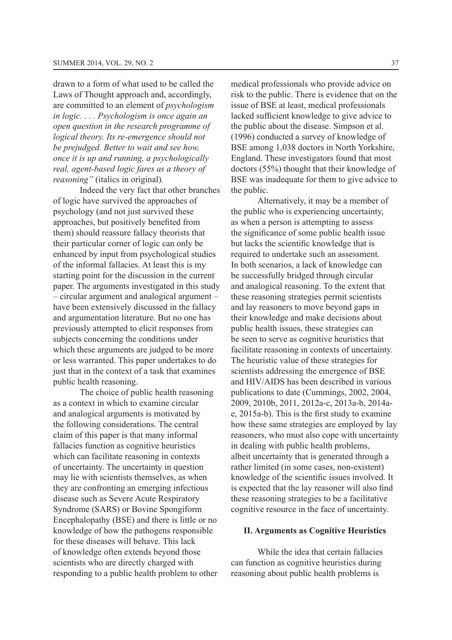drawn to a form of what used to be called the Laws of Thought approach and, accordingly, are committed to an element of *psychologism in logic. . . . Psychologism is once again an open question in the research programme of logical theory. Its re-emergence should not be prejudged. Better to wait and see how, once it is up and running, a psychologically real, agent-based logic fares as a theory of reasoning*" (italics in original).

Indeed the very fact that other branches of logic have survived the approaches of psychology (and not just survived these approaches, but positively benefited from them) should reassure fallacy theorists that their particular corner of logic can only be enhanced by input from psychological studies of the informal fallacies. At least this is my starting point for the discussion in the current paper. The arguments investigated in this study – circular argument and analogical argument – have been extensively discussed in the fallacy and argumentation literature. But no one has previously attempted to elicit responses from subjects concerning the conditions under which these arguments are judged to be more or less warranted. This paper undertakes to do just that in the context of a task that examines public health reasoning.

The choice of public health reasoning as a context in which to examine circular and analogical arguments is motivated by the following considerations. The central claim of this paper is that many informal fallacies function as cognitive heuristics which can facilitate reasoning in contexts of uncertainty. The uncertainty in question may lie with scientists themselves, as when they are confronting an emerging infectious disease such as Severe Acute Respiratory Syndrome (SARS) or Bovine Spongiform Encephalopathy (BSE) and there is little or no knowledge of how the pathogens responsible for these diseases will behave. This lack of knowledge often extends beyond those scientists who are directly charged with responding to a public health problem to other medical professionals who provide advice on risk to the public. There is evidence that on the issue of BSE at least, medical professionals lacked sufficient knowledge to give advice to the public about the disease. Simpson et al.  $(1996)$  conducted a survey of knowledge of BSE among 1,038 doctors in North Yorkshire, England. These investigators found that most  $d$  doctors (55%) thought that their knowledge of BSE was inadequate for them to give advice to the public.

Alternatively, it may be a member of the public who is experiencing uncertainty, as when a person is attempting to assess the significance of some public health issue but lacks the scientific knowledge that is required to undertake such an assessment. In both scenarios, a lack of knowledge can be successfully bridged through circular and analogical reasoning. To the extent that these reasoning strategies permit scientists and lay reasoners to move beyond gaps in their knowledge and make decisions about public health issues, these strategies can be seen to serve as cognitive heuristics that facilitate reasoning in contexts of uncertainty. The heuristic value of these strategies for scientists addressing the emergence of BSE and HIV/AIDS has been described in various publications to date (Cummings, 2002, 2004, 2009, 2010b, 2011, 2012a-c, 2013a-b, 2014ae,  $2015a-b$ ). This is the first study to examine how these same strategies are employed by lay reasoners, who must also cope with uncertainty in dealing with public health problems, albeit uncertainty that is generated through a rather limited (in some cases, non-existent) knowledge of the scientific issues involved. It is expected that the lay reasoner will also find these reasoning strategies to be a facilitative cognitive resource in the face of uncertainty.

#### **II. Arguments as Cognitive Heuristics**

While the idea that certain fallacies can function as cognitive heuristics during reasoning about public health problems is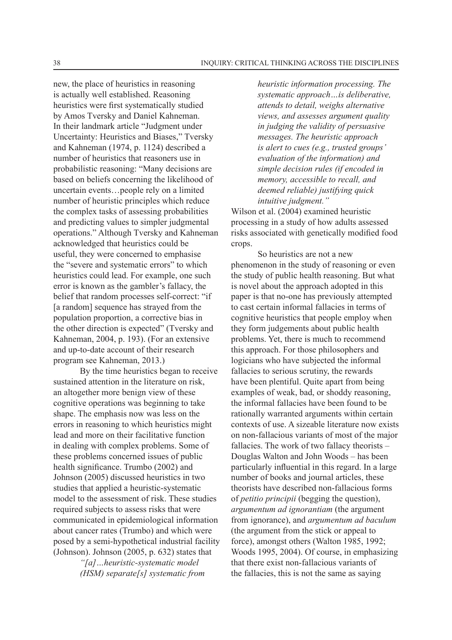new, the place of heuristics in reasoning is actually well established. Reasoning heuristics were first systematically studied by Amos Tversky and Daniel Kahneman. In their landmark article "Judgment under Uncertainty: Heuristics and Biases," Tversky and Kahneman  $(1974, p. 1124)$  described a number of heuristics that reasoners use in probabilistic reasoning: "Many decisions are based on beliefs concerning the likelihood of uncertain events…people rely on a limited number of heuristic principles which reduce the complex tasks of assessing probabilities and predicting values to simpler judgmental operations." Although Tversky and Kahneman acknowledged that heuristics could be useful, they were concerned to emphasise the "severe and systematic errors" to which heuristics could lead. For example, one such error is known as the gambler's fallacy, the belief that random processes self-correct: "if [a random] sequence has strayed from the population proportion, a corrective bias in the other direction is expected" (Tversky and Kahneman, 2004, p. 193). (For an extensive and up-to-date account of their research program see Kahneman, 2013.)

By the time heuristics began to receive sustained attention in the literature on risk, an altogether more benign view of these cognitive operations was beginning to take shape. The emphasis now was less on the errors in reasoning to which heuristics might lead and more on their facilitative function in dealing with complex problems. Some of these problems concerned issues of public health significance. Trumbo (2002) and Johnson (2005) discussed heuristics in two studies that applied a heuristic-systematic model to the assessment of risk. These studies required subjects to assess risks that were communicated in epidemiological information about cancer rates (Trumbo) and which were posed by a semi-hypothetical industrial facility (Johnson). Johnson  $(2005, p. 632)$  states that

> *"[a]…heuristic-systematic model (HSM) separate[s] systematic from*

*heuristic information processing. The systematic approach…is deliberative, attends to detail, weighs alternative views, and assesses argument quality in judging the validity of persuasive messages. The heuristic approach is alert to cues (e.g., trusted groups' evaluation of the information) and simple decision rules (if encoded in memory, accessible to recall, and deemed reliable) justifying quick intuitive judgment."* 

Wilson et al. (2004) examined heuristic processing in a study of how adults assessed risks associated with genetically modified food crops.

So heuristics are not a new phenomenon in the study of reasoning or even the study of public health reasoning. But what is novel about the approach adopted in this paper is that no-one has previously attempted to cast certain informal fallacies in terms of cognitive heuristics that people employ when they form judgements about public health problems. Yet, there is much to recommend this approach. For those philosophers and logicians who have subjected the informal fallacies to serious scrutiny, the rewards have been plentiful. Quite apart from being examples of weak, bad, or shoddy reasoning, the informal fallacies have been found to be rationally warranted arguments within certain contexts of use. A sizeable literature now exists on non-fallacious variants of most of the major fallacies. The work of two fallacy theorists – Douglas Walton and John Woods – has been particularly influential in this regard. In a large number of books and journal articles, these theorists have described non-fallacious forms of *petitio principii* (begging the question). *argumentum ad ignorantiam* (the argument from ignorance), and *argumentum ad baculum* (the argument from the stick or appeal to force), amongst others (Walton 1985, 1992; Woods 1995, 2004). Of course, in emphasizing that there exist non-fallacious variants of the fallacies, this is not the same as saying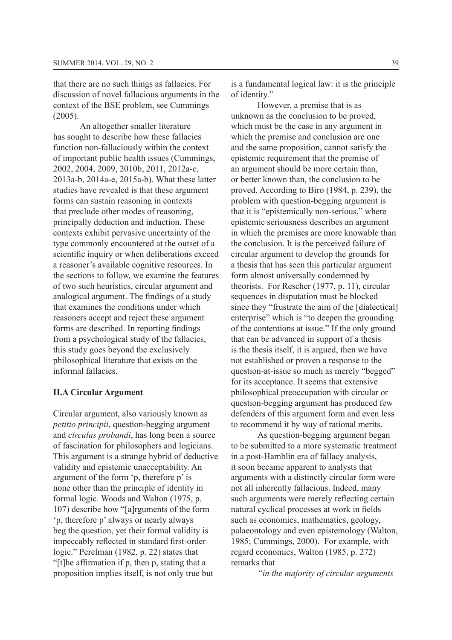that there are no such things as fallacies. For discussion of novel fallacious arguments in the context of the BSE problem, see Cummings  $(2005)$ .

An altogether smaller literature has sought to describe how these fallacies function non-fallaciously within the context of important public health issues (Cummings, 2002, 2004, 2009, 2010b, 2011, 2012a-c,  $2013a-b$ ,  $2014a-e$ ,  $2015a-b$ ). What these latter studies have revealed is that these argument forms can sustain reasoning in contexts that preclude other modes of reasoning, principally deduction and induction. These contexts exhibit pervasive uncertainty of the type commonly encountered at the outset of a scientific inquiry or when deliberations exceed a reasoner's available cognitive resources. In the sections to follow, we examine the features of two such heuristics, circular argument and analogical argument. The findings of a study that examines the conditions under which reasoners accept and reject these argument forms are described. In reporting findings from a psychological study of the fallacies, this study goes beyond the exclusively philosophical literature that exists on the informal fallacies.

#### **II.A Circular Argument**

Circular argument, also variously known as *petitio principii*, question-begging argument and *circulus probandi*, has long been a source of fascination for philosophers and logicians. This argument is a strange hybrid of deductive validity and epistemic unacceptability. An argument of the form 'p, therefore p' is none other than the principle of identity in formal logic. Woods and Walton (1975, p. 107) describe how "[a]rguments of the form 'p, therefore p' always or nearly always beg the question, yet their formal validity is impeccably reflected in standard first-order logic." Perelman  $(1982, p. 22)$  states that "It the affirmation if p, then p, stating that a proposition implies itself, is not only true but

is a fundamental logical law: it is the principle of identity."

However, a premise that is as unknown as the conclusion to be proved, which must be the case in any argument in which the premise and conclusion are one and the same proposition, cannot satisfy the epistemic requirement that the premise of an argument should be more certain than, or better known than, the conclusion to be proved. According to Biro  $(1984, p. 239)$ , the problem with question-begging argument is that it is "epistemically non-serious," where epistemic seriousness describes an argument in which the premises are more knowable than the conclusion. It is the perceived failure of circular argument to develop the grounds for a thesis that has seen this particular argument form almost universally condemned by theorists. For Rescher  $(1977, p. 11)$ , circular sequences in disputation must be blocked since they "frustrate the aim of the [dialectical] enterprise" which is "to deepen the grounding of the contentions at issue." If the only ground that can be advanced in support of a thesis is the thesis itself, it is argued, then we have not established or proven a response to the question-at-issue so much as merely "begged" for its acceptance. It seems that extensive philosophical preoccupation with circular or question-begging argument has produced few defenders of this argument form and even less to recommend it by way of rational merits.

As question-begging argument began to be submitted to a more systematic treatment in a post-Hamblin era of fallacy analysis, it soon became apparent to analysts that arguments with a distinctly circular form were not all inherently fallacious. Indeed, many such arguments were merely reflecting certain natural cyclical processes at work in fields such as economics, mathematics, geology, palaeontology and even epistemology (Walton, 1985; Cummings, 2000). For example, with regard economics, Walton (1985, p. 272) remarks that

*"in the majority of circular arguments*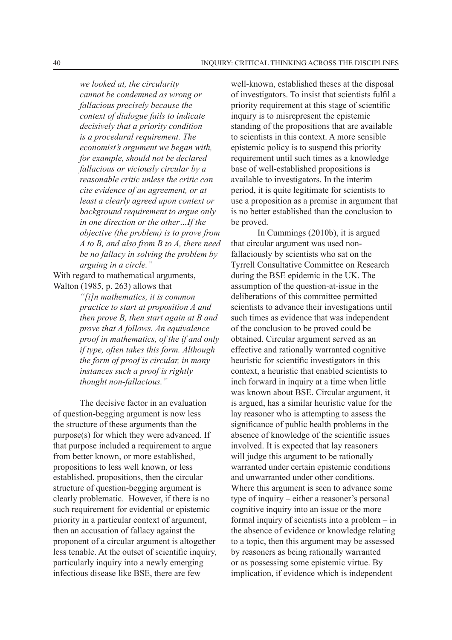*we looked at, the circularity cannot be condemned as wrong or fallacious precisely because the context of dialogue fails to indicate decisively that a priority condition is a procedural requirement. The economist's argument we began with, for example, should not be declared fallacious or viciously circular by a reasonable critic unless the critic can cite evidence of an agreement, or at least a clearly agreed upon context or background requirement to argue only in one direction or the other…If the objective (the problem) is to prove from A to B, and also from B to A, there need be no fallacy in solving the problem by arguing in a circle."*

With regard to mathematical arguments, Walton  $(1985, p. 263)$  allows that

> *"[i]n mathematics, it is common practice to start at proposition A and then prove B, then start again at B and prove that A follows. An equivalence proof in mathematics, of the if and only if type, often takes this form. Although the form of proof is circular, in many instances such a proof is rightly thought non-fallacious."*

The decisive factor in an evaluation of question-begging argument is now less the structure of these arguments than the  $purpose(s)$  for which they were advanced. If that purpose included a requirement to argue from better known, or more established, propositions to less well known, or less established, propositions, then the circular structure of question-begging argument is clearly problematic. However, if there is no such requirement for evidential or epistemic priority in a particular context of argument, then an accusation of fallacy against the proponent of a circular argument is altogether less tenable. At the outset of scientific inquiry, particularly inquiry into a newly emerging infectious disease like BSE, there are few

well-known, established theses at the disposal of investigators. To insist that scientists fulfil a priority requirement at this stage of scientific inquiry is to misrepresent the epistemic standing of the propositions that are available to scientists in this context. A more sensible epistemic policy is to suspend this priority requirement until such times as a knowledge base of well-established propositions is available to investigators. In the interim period, it is quite legitimate for scientists to use a proposition as a premise in argument that is no better established than the conclusion to be proved.

In Cummings  $(2010b)$ , it is argued that circular argument was used nonfallaciously by scientists who sat on the Tyrrell Consultative Committee on Research during the BSE epidemic in the UK. The assumption of the question-at-issue in the deliberations of this committee permitted scientists to advance their investigations until such times as evidence that was independent of the conclusion to be proved could be obtained. Circular argument served as an effective and rationally warranted cognitive heuristic for scientific investigators in this context, a heuristic that enabled scientists to inch forward in inquiry at a time when little was known about BSE. Circular argument, it is argued, has a similar heuristic value for the lay reasoner who is attempting to assess the significance of public health problems in the absence of knowledge of the scientific issues involved. It is expected that lay reasoners will judge this argument to be rationally warranted under certain epistemic conditions and unwarranted under other conditions. Where this argument is seen to advance some type of inquiry – either a reasoner's personal cognitive inquiry into an issue or the more formal inquiry of scientists into a problem – in the absence of evidence or knowledge relating to a topic, then this argument may be assessed by reasoners as being rationally warranted or as possessing some epistemic virtue. By implication, if evidence which is independent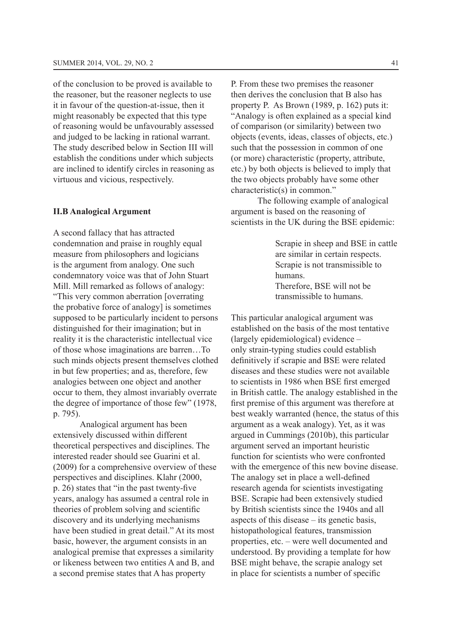of the conclusion to be proved is available to the reasoner, but the reasoner neglects to use it in favour of the question-at-issue, then it might reasonably be expected that this type of reasoning would be unfavourably assessed and judged to be lacking in rational warrant. The study described below in Section III will establish the conditions under which subjects are inclined to identify circles in reasoning as virtuous and vicious, respectively.

#### **II.B Analogical Argument**

A second fallacy that has attracted condemnation and praise in roughly equal measure from philosophers and logicians is the argument from analogy. One such condemnatory voice was that of John Stuart Mill. Mill remarked as follows of analogy: "This very common aberration [overrating the probative force of analogy] is sometimes supposed to be particularly incident to persons distinguished for their imagination; but in reality it is the characteristic intellectual vice of those whose imaginations are barren…To such minds objects present themselves clothed in but few properties; and as, therefore, few analogies between one object and another occur to them, they almost invariably overrate the degree of importance of those few" (1978, p. 795).

Analogical argument has been extensively discussed within different theoretical perspectives and disciplines. The interested reader should see Guarini et al.  $(2009)$  for a comprehensive overview of these perspectives and disciplines. Klahr (2000, p. 26) states that "in the past twenty-five years, analogy has assumed a central role in theories of problem solving and scientific discovery and its underlying mechanisms have been studied in great detail." At its most basic, however, the argument consists in an analogical premise that expresses a similarity or likeness between two entities A and B, and a second premise states that A has property

P. From these two premises the reasoner then derives the conclusion that B also has property P. As Brown  $(1989, p. 162)$  puts it: "Analogy is often explained as a special kind of comparison (or similarity) between two objects (events, ideas, classes of objects, etc.) such that the possession in common of one (or more) characteristic (property, attribute, etc.) by both objects is believed to imply that the two objects probably have some other characteristic(s) in common."

The following example of analogical argument is based on the reasoning of scientists in the UK during the BSE epidemic:

> Scrapie in sheep and BSE in cattle are similar in certain respects. Scrapie is not transmissible to humans. Therefore, BSE will not be transmissible to humans.

This particular analogical argument was established on the basis of the most tentative  $(largely epidemiological)$  evidence – only strain-typing studies could establish definitively if scrapie and BSE were related diseases and these studies were not available to scientists in 1986 when BSE first emerged in British cattle. The analogy established in the first premise of this argument was therefore at best weakly warranted (hence, the status of this argument as a weak analogy). Yet, as it was argued in Cummings  $(2010b)$ , this particular argument served an important heuristic function for scientists who were confronted with the emergence of this new bovine disease. The analogy set in place a well-defined research agenda for scientists investigating BSE. Scrapie had been extensively studied by British scientists since the 1940s and all aspects of this disease – its genetic basis, histopathological features, transmission properties, etc. – were well documented and understood. By providing a template for how BSE might behave, the scrapie analogy set in place for scientists a number of specific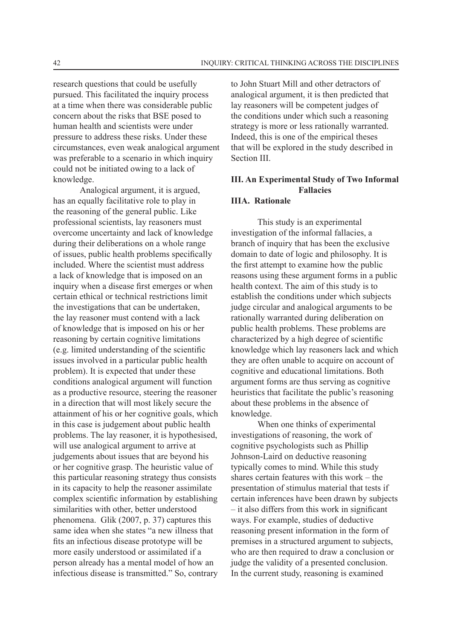research questions that could be usefully pursued. This facilitated the inquiry process at a time when there was considerable public concern about the risks that BSE posed to human health and scientists were under pressure to address these risks. Under these circumstances, even weak analogical argument was preferable to a scenario in which inquiry could not be initiated owing to a lack of knowledge.

Analogical argument, it is argued, has an equally facilitative role to play in the reasoning of the general public. Like professional scientists, lay reasoners must overcome uncertainty and lack of knowledge during their deliberations on a whole range of issues, public health problems specifically included. Where the scientist must address a lack of knowledge that is imposed on an inquiry when a disease first emerges or when certain ethical or technical restrictions limit the investigations that can be undertaken, the lay reasoner must contend with a lack of knowledge that is imposed on his or her reasoning by certain cognitive limitations  $(e.g.$  limited understanding of the scientific issues involved in a particular public health problem). It is expected that under these conditions analogical argument will function as a productive resource, steering the reasoner in a direction that will most likely secure the attainment of his or her cognitive goals, which in this case is judgement about public health problems. The lay reasoner, it is hypothesised, will use analogical argument to arrive at judgements about issues that are beyond his or her cognitive grasp. The heuristic value of this particular reasoning strategy thus consists in its capacity to help the reasoner assimilate complex scientific information by establishing similarities with other, better understood phenomena. Glik  $(2007, p, 37)$  captures this same idea when she states "a new illness that fits an infectious disease prototype will be more easily understood or assimilated if a person already has a mental model of how an infectious disease is transmitted." So, contrary

to John Stuart Mill and other detractors of analogical argument, it is then predicted that lay reasoners will be competent judges of the conditions under which such a reasoning strategy is more or less rationally warranted. Indeed, this is one of the empirical theses that will be explored in the study described in Section III.

# **III. An Experimental Study of Two Informal Fallacies**

#### **IIIA. Rationale**

This study is an experimental investigation of the informal fallacies, a branch of inquiry that has been the exclusive domain to date of logic and philosophy. It is the first attempt to examine how the public reasons using these argument forms in a public health context. The aim of this study is to establish the conditions under which subjects judge circular and analogical arguments to be rationally warranted during deliberation on public health problems. These problems are characterized by a high degree of scientific knowledge which lay reasoners lack and which they are often unable to acquire on account of cognitive and educational limitations. Both argument forms are thus serving as cognitive heuristics that facilitate the public's reasoning about these problems in the absence of knowledge.

When one thinks of experimental investigations of reasoning, the work of cognitive psychologists such as Phillip Johnson-Laird on deductive reasoning typically comes to mind. While this study shares certain features with this work – the presentation of stimulus material that tests if certain inferences have been drawn by subjects  $-$  it also differs from this work in significant ways. For example, studies of deductive reasoning present information in the form of premises in a structured argument to subjects, who are then required to draw a conclusion or judge the validity of a presented conclusion. In the current study, reasoning is examined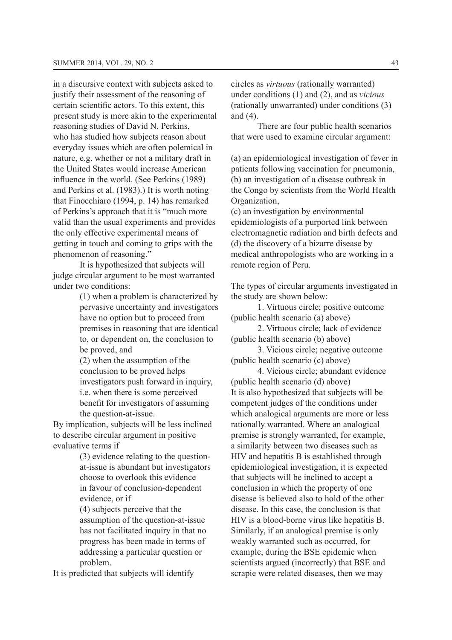in a discursive context with subjects asked to justify their assessment of the reasoning of certain scientific actors. To this extent, this present study is more akin to the experimental reasoning studies of David N. Perkins. who has studied how subjects reason about everyday issues which are often polemical in nature, e.g. whether or not a military draft in the United States would increase American influence in the world. (See Perkins (1989) and Perkins et al. (1983).) It is worth noting that Finocchiaro  $(1994, p. 14)$  has remarked of Perkins's approach that it is "much more" valid than the usual experiments and provides the only effective experimental means of getting in touch and coming to grips with the phenomenon of reasoning."

It is hypothesized that subjects will judge circular argument to be most warranted under two conditions:

> $(1)$  when a problem is characterized by pervasive uncertainty and investigators have no option but to proceed from premises in reasoning that are identical to, or dependent on, the conclusion to be proved, and

 $(2)$  when the assumption of the conclusion to be proved helps investigators push forward in inquiry, i.e. when there is some perceived benefit for investigators of assuming the question-at-issue.

By implication, subjects will be less inclined to describe circular argument in positive evaluative terms if

> $(3)$  evidence relating to the questionat-issue is abundant but investigators choose to overlook this evidence in favour of conclusion-dependent evidence, or if

 $(4)$  subjects perceive that the assumption of the question-at-issue has not facilitated inquiry in that no progress has been made in terms of addressing a particular question or problem.

It is predicted that subjects will identify

circles as *virtuous* (rationally warranted) under conditions (1) and (2), and as *vicious*  $(rationally unwarranted)$  under conditions  $(3)$ and  $(4)$ .

There are four public health scenarios that were used to examine circular argument:

(a) an epidemiological investigation of fever in patients following vaccination for pneumonia,  $(b)$  an investigation of a disease outbreak in the Congo by scientists from the World Health Organization,

 $\chi$ ) contribution by environmental epidemiologists of a purported link between electromagnetic radiation and birth defects and (d) the discovery of a bizarre disease by medical anthropologists who are working in a remote region of Peru.

The types of circular arguments investigated in the study are shown below:

1. Virtuous circle; positive outcome  $(pubic health scenario (a) above)$ 

2. Virtuous circle; lack of evidence  $(public health scenario (b) above)$ 

3. Vicious circle; negative outcome  $(public health scenario (c) above)$ 

4. Vicious circle: abundant evidence  $(\text{public health scenario (d) above})$ It is also hypothesized that subjects will be competent judges of the conditions under which analogical arguments are more or less rationally warranted. Where an analogical premise is strongly warranted, for example, a similarity between two diseases such as  $HIV$  and hepatitis  $B$  is established through epidemiological investigation, it is expected that subjects will be inclined to accept a conclusion in which the property of one disease is believed also to hold of the other disease. In this case, the conclusion is that HIV is a blood-borne virus like hepatitis B. Similarly, if an analogical premise is only weakly warranted such as occurred, for example, during the BSE epidemic when scientists argued (incorrectly) that BSE and scrapie were related diseases, then we may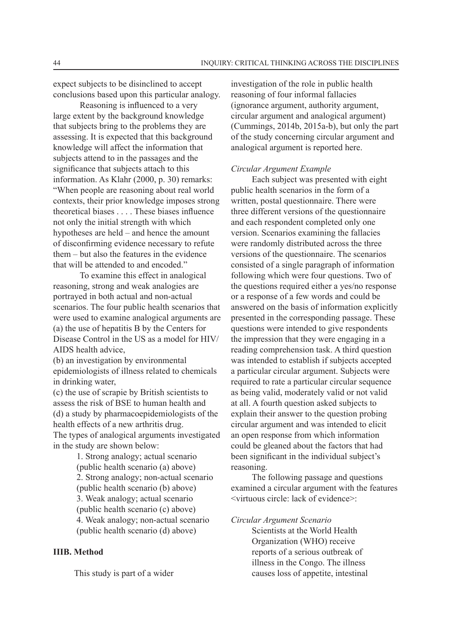expect subjects to be disinclined to accept conclusions based upon this particular analogy.

Reasoning is influenced to a very large extent by the background knowledge that subjects bring to the problems they are assessing. It is expected that this background knowledge will affect the information that subjects attend to in the passages and the significance that subjects attach to this information. As Klahr  $(2000, p. 30)$  remarks: "When people are reasoning about real world" contexts, their prior knowledge imposes strong theoretical biases  $\dots$ . These biases influence not only the initial strength with which hypotheses are held – and hence the amount of disconfirming evidence necessary to refute them – but also the features in the evidence that will be attended to and encoded."

To examine this effect in analogical reasoning, strong and weak analogies are portrayed in both actual and non-actual scenarios. The four public health scenarios that were used to examine analogical arguments are (a) the use of hepatitis B by the Centers for Disease Control in the US as a model for HIV/ AIDS health advice.

 $(b)$  an investigation by environmental epidemiologists of illness related to chemicals in drinking water,

 $\tilde{\mathbf{c}}$  the use of scrapie by British scientists to assess the risk of BSE to human health and  $(d)$  a study by pharmacoepidemiologists of the health effects of a new arthritis drug. The types of analogical arguments investigated in the study are shown below:

> 1. Strong analogy; actual scenario  $(\text{public health scenario (a) above})$ 2. Strong analogy; non-actual scenario  $(public health scenario (b) above)$ 3. Weak analogy; actual scenario  $(\text{public health scenario (c) above})$ 4. Weak analogy: non-actual scenario  $(pubic health scenario (d) above)$

#### **IIIB. Method**

This study is part of a wider

investigation of the role in public health reasoning of four informal fallacies  $(i$ gnorance argument, authority argument, circular argument and analogical argument)  $(Cummings, 2014b, 2015a-b)$ , but only the part of the study concerning circular argument and analogical argument is reported here.

#### *Circular Argument Example*

Each subject was presented with eight public health scenarios in the form of a written, postal questionnaire. There were three different versions of the questionnaire and each respondent completed only one version. Scenarios examining the fallacies were randomly distributed across the three versions of the questionnaire. The scenarios consisted of a single paragraph of information following which were four questions. Two of the questions required either a yes/no response or a response of a few words and could be answered on the basis of information explicitly presented in the corresponding passage. These questions were intended to give respondents the impression that they were engaging in a reading comprehension task. A third question was intended to establish if subjects accepted a particular circular argument. Subjects were required to rate a particular circular sequence as being valid, moderately valid or not valid at all. A fourth question asked subjects to explain their answer to the question probing circular argument and was intended to elicit an open response from which information could be gleaned about the factors that had been significant in the individual subject's reasoning.

The following passage and questions examined a circular argument with the features <virtuous circle: lack of evidence>:

*Circular Argument Scenario*

Scientists at the World Health Organization (WHO) receive reports of a serious outbreak of illness in the Congo. The illness causes loss of appetite, intestinal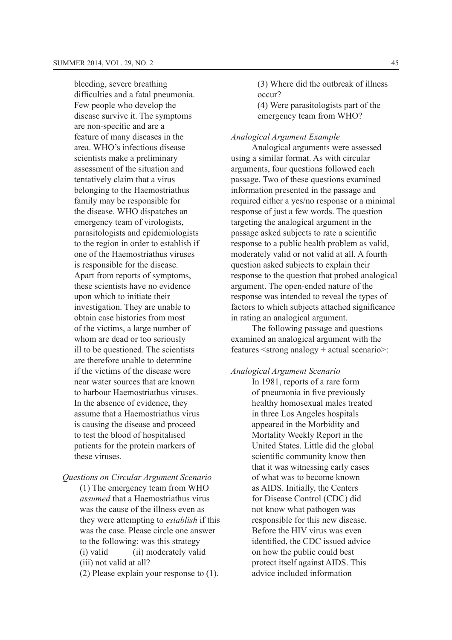bleeding, severe breathing difficulties and a fatal pneumonia. Few people who develop the disease survive it. The symptoms are non-specific and are a feature of many diseases in the area. WHO's infectious disease scientists make a preliminary assessment of the situation and tentatively claim that a virus belonging to the Haemostriathus family may be responsible for the disease. WHO dispatches an emergency team of virologists, parasitologists and epidemiologists to the region in order to establish if one of the Haemostriathus viruses is responsible for the disease. Apart from reports of symptoms, these scientists have no evidence upon which to initiate their investigation. They are unable to obtain case histories from most of the victims, a large number of whom are dead or too seriously ill to be questioned. The scientists are therefore unable to determine if the victims of the disease were near water sources that are known to harbour Haemostriathus viruses. In the absence of evidence, they assume that a Haemostriathus virus is causing the disease and proceed to test the blood of hospitalised patients for the protein markers of these viruses.

*Questions on Circular Argument Scenario*

 $(1)$  The emergency team from WHO *assumed* that a Haemostriathus virus was the cause of the illness even as they were attempting to *establish* if this was the case. Please circle one answer. to the following: was this strategy  $(i)$  valid  $(ii)$  moderately valid  $(iii)$  not valid at all?

(2) Please explain your response to  $(1)$ .

(3) Where did the outbreak of illness occur?  $(4)$  Were parasitologists part of the

emergency team from WHO?

#### *Analogical Argument Example*

Analogical arguments were assessed using a similar format. As with circular arguments, four questions followed each passage. Two of these questions examined information presented in the passage and required either a yes/no response or a minimal response of just a few words. The question targeting the analogical argument in the passage asked subjects to rate a scientific response to a public health problem as valid, moderately valid or not valid at all. A fourth question asked subjects to explain their response to the question that probed analogical argument. The open-ended nature of the response was intended to reveal the types of factors to which subjects attached significance in rating an analogical argument.

The following passage and questions examined an analogical argument with the features <strong analogy + actual scenario>:

## *Analogical Argument Scenario*

In 1981, reports of a rare form of pneumonia in five previously healthy homosexual males treated in three Los Angeles hospitals appeared in the Morbidity and Mortality Weekly Report in the United States. Little did the global scientific community know then that it was witnessing early cases of what was to become known as AIDS. Initially, the Centers for Disease Control (CDC) did not know what pathogen was responsible for this new disease. Before the HIV virus was even identified, the CDC issued advice on how the public could best protect itself against AIDS. This advice included information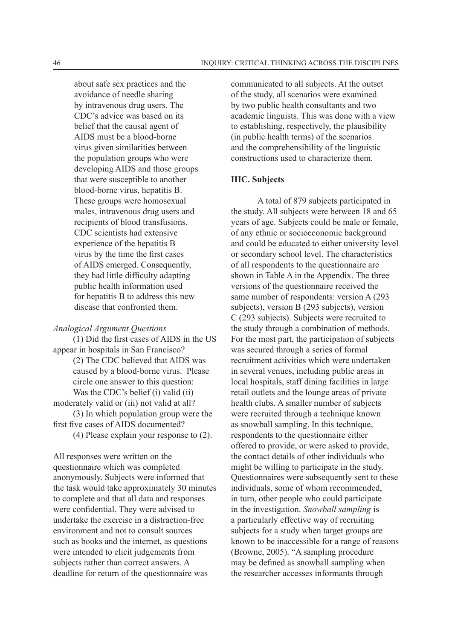about safe sex practices and the avoidance of needle sharing by intravenous drug users. The  $CDC's$  advice was based on its belief that the causal agent of AIDS must be a blood-borne virus given similarities between the population groups who were developing AIDS and those groups that were susceptible to another blood-borne virus, hepatitis B. These groups were homosexual males, intravenous drug users and recipients of blood transfusions. CDC scientists had extensive experience of the hepatitis B virus by the time the first cases of AIDS emerged. Consequently, they had little difficulty adapting public health information used for hepatitis B to address this new disease that confronted them.

#### *Analogical Argument Questions*

 $(1)$  Did the first cases of AIDS in the US appear in hospitals in San Francisco? (2) The CDC believed that AIDS was caused by a blood-borne virus. Please circle one answer to this question: Was the CDC's belief  $(i)$  valid  $(ii)$ moderately valid or (iii) not valid at all?  $(3)$  In which population group were the first five cases of AIDS documented? (4) Please explain your response to  $(2)$ .

All responses were written on the questionnaire which was completed anonymously. Subjects were informed that the task would take approximately 30 minutes to complete and that all data and responses were confidential. They were advised to undertake the exercise in a distraction-free environment and not to consult sources such as books and the internet, as questions were intended to elicit judgements from subjects rather than correct answers. A deadline for return of the questionnaire was

communicated to all subjects. At the outset of the study, all scenarios were examined by two public health consultants and two academic linguists. This was done with a view to establishing, respectively, the plausibility (in public health terms) of the scenarios and the comprehensibility of the linguistic constructions used to characterize them.

#### **IIIC. Subjects**

A total of 879 subjects participated in the study. All subjects were between 18 and 65 years of age. Subjects could be male or female, of any ethnic or socioeconomic background and could be educated to either university level or secondary school level. The characteristics of all respondents to the questionnaire are shown in Table A in the Appendix. The three versions of the questionnaire received the same number of respondents: version  $A(293)$ subjects), version B  $(293 \text{ subjects})$ , version  $C$  (293 subjects). Subjects were recruited to the study through a combination of methods. For the most part, the participation of subjects was secured through a series of formal recruitment activities which were undertaken in several venues, including public areas in local hospitals, staff dining facilities in large retail outlets and the lounge areas of private health clubs. A smaller number of subjects were recruited through a technique known as snowball sampling. In this technique, respondents to the questionnaire either offered to provide, or were asked to provide, the contact details of other individuals who might be willing to participate in the study. Questionnaires were subsequently sent to these individuals, some of whom recommended, in turn, other people who could participate in the investigation. *Snowball sampling* is a particularly effective way of recruiting subjects for a study when target groups are known to be inaccessible for a range of reasons  $(Browne, 2005)$ . "A sampling procedure may be defined as snowball sampling when the researcher accesses informants through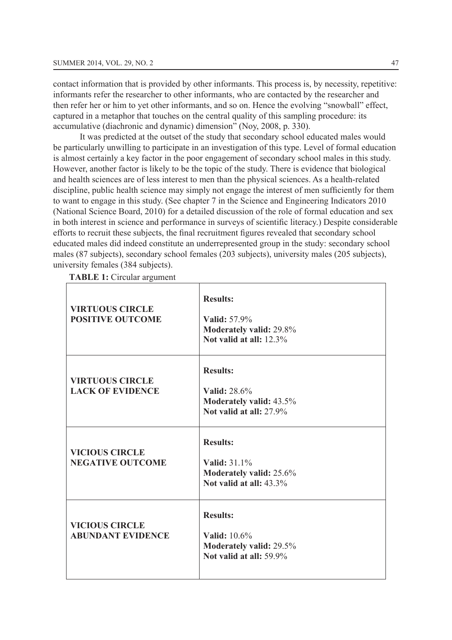contact information that is provided by other informants. This process is, by necessity, repetitive: informants refer the researcher to other informants, who are contacted by the researcher and then refer her or him to vet other informants, and so on. Hence the evolving "snowball" effect, captured in a metaphor that touches on the central quality of this sampling procedure: its accumulative (diachronic and dynamic) dimension" (Nov. 2008, p. 330).

It was predicted at the outset of the study that secondary school educated males would be particularly unwilling to participate in an investigation of this type. Level of formal education is almost certainly a key factor in the poor engagement of secondary school males in this study. However, another factor is likely to be the topic of the study. There is evidence that biological and health sciences are of less interest to men than the physical sciences. As a health-related discipline, public health science may simply not engage the interest of men sufficiently for them to want to engage in this study. (See chapter 7 in the Science and Engineering Indicators 2010 (National Science Board, 2010) for a detailed discussion of the role of formal education and sex in both interest in science and performance in surveys of scientific literacy.) Despite considerable efforts to recruit these subjects, the final recruitment figures revealed that secondary school educated males did indeed constitute an underrepresented group in the study: secondary school males (87 subjects), secondary school females (203 subjects), university males (205 subjects), university females  $(384 \text{ subjects})$ .

**TABLE 1:** Circular argument

| <b>VIRTUOUS CIRCLE</b><br><b>POSITIVE OUTCOME</b> | <b>Results:</b><br>Valid: 57.9%<br>Moderately valid: 29.8%<br>Not valid at all: 12.3%        |
|---------------------------------------------------|----------------------------------------------------------------------------------------------|
| <b>VIRTUOUS CIRCLE</b><br><b>LACK OF EVIDENCE</b> | <b>Results:</b><br>Valid: 28.6%<br><b>Moderately valid: 43.5%</b><br>Not valid at all: 27.9% |
| <b>VICIOUS CIRCLE</b><br><b>NEGATIVE OUTCOME</b>  | <b>Results:</b><br>Valid: 31.1%<br>Moderately valid: 25.6%<br>Not valid at all: 43.3%        |
| <b>VICIOUS CIRCLE</b><br><b>ABUNDANT EVIDENCE</b> | <b>Results:</b><br><b>Valid:</b> 10.6%<br>Moderately valid: 29.5%<br>Not valid at all: 59.9% |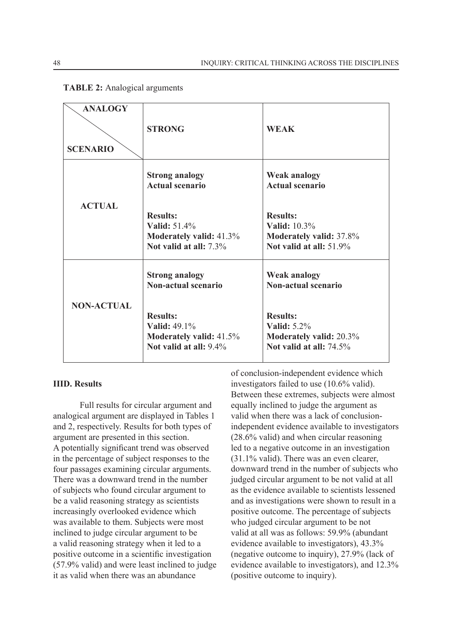| <b>ANALOGY</b><br><b>SCENARIO</b> | <b>STRONG</b>                                                                                      | <b>WEAK</b>                                                                                        |  |
|-----------------------------------|----------------------------------------------------------------------------------------------------|----------------------------------------------------------------------------------------------------|--|
|                                   | <b>Strong analogy</b><br><b>Actual scenario</b>                                                    | <b>Weak analogy</b><br><b>Actual scenario</b>                                                      |  |
| <b>ACTUAL</b>                     | <b>Results:</b><br><b>Valid:</b> 51.4%<br><b>Moderately valid: 41.3%</b><br>Not valid at all: 7.3% | <b>Results:</b><br><b>Valid:</b> 10.3%<br>Moderately valid: 37.8%<br>Not valid at all: 51.9%       |  |
| <b>NON-ACTUAL</b>                 | <b>Strong analogy</b><br><b>Non-actual scenario</b>                                                | <b>Weak analogy</b><br><b>Non-actual scenario</b>                                                  |  |
|                                   | <b>Results:</b><br><b>Valid:</b> 49.1%<br><b>Moderately valid:</b> 41.5%<br>Not valid at all: 9.4% | <b>Results:</b><br><b>Valid:</b> 5.2%<br><b>Moderately valid: 20.3%</b><br>Not valid at all: 74.5% |  |

# **TABLE 2:** Analogical arguments

## **IIID. Results**

Full results for circular argument and analogical argument are displayed in Tables 1 and 2, respectively. Results for both types of argument are presented in this section. A potentially significant trend was observed in the percentage of subject responses to the four passages examining circular arguments. There was a downward trend in the number of subjects who found circular argument to be a valid reasoning strategy as scientists increasingly overlooked evidence which was available to them. Subjects were most inclined to judge circular argument to be a valid reasoning strategy when it led to a positive outcome in a scientific investigation  $(57.9\%$  valid) and were least inclined to judge it as valid when there was an abundance

of conclusion-independent evidence which investigators failed to use  $(10.6\% \text{ valid})$ . Between these extremes, subjects were almost equally inclined to judge the argument as valid when there was a lack of conclusionindependent evidence available to investigators  $(28.6\%$  valid) and when circular reasoning led to a negative outcome in an investigation  $(31.1\%$  valid). There was an even clearer. downward trend in the number of subjects who judged circular argument to be not valid at all as the evidence available to scientists lessened and as investigations were shown to result in a positive outcome. The percentage of subjects who judged circular argument to be not valid at all was as follows: 59.9% (abundant evidence available to investigators),  $43.3\%$ (negative outcome to inquiry),  $27.9\%$  (lack of evidence available to investigators), and  $12.3\%$ (positive outcome to inquiry).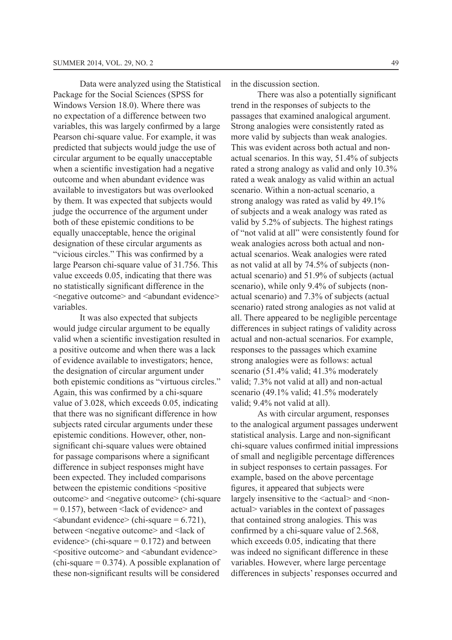Data were analyzed using the Statistical Package for the Social Sciences (SPSS for Windows Version 18.0) Where there was no expectation of a difference between two variables, this was largely confirmed by a large Pearson chi-square value. For example, it was predicted that subjects would judge the use of circular argument to be equally unacceptable when a scientific investigation had a negative outcome and when abundant evidence was available to investigators but was overlooked by them. It was expected that subjects would judge the occurrence of the argument under both of these epistemic conditions to be equally unacceptable, hence the original designation of these circular arguments as "vicious circles." This was confirmed by a large Pearson chi-square value of 31.756. This value exceeds 0.05, indicating that there was no statistically significant difference in the  $\leq$ negative outcome $>$  and  $\leq$ abundant evidence $>$ variables.

It was also expected that subjects would judge circular argument to be equally valid when a scientific investigation resulted in a positive outcome and when there was a lack of evidence available to investigators; hence, the designation of circular argument under both epistemic conditions as "virtuous circles." Again, this was confirmed by a chi-square value of 3.028, which exceeds 0.05, indicating that there was no significant difference in how subjects rated circular arguments under these epistemic conditions. However, other, nonsignificant chi-square values were obtained for passage comparisons where a significant difference in subject responses might have been expected. They included comparisons between the epistemic conditions <positive outcome> and <negative outcome> (chi-square  $= 0.157$ ), between  $\le$ lack of evidence $\ge$  and  $\alpha$ bundant evidence> (chi-square = 6.721). between <negative outcome> and <lack of evidence> (chi-square  $= 0.172$ ) and between <positive outcome> and <abundant evidence>  $F$ (chi-square = 0.374). A possible explanation of these non-significant results will be considered

in the discussion section.

There was also a potentially significant trend in the responses of subjects to the passages that examined analogical argument. Strong analogies were consistently rated as more valid by subjects than weak analogies. This was evident across both actual and nonactual scenarios. In this way, 51.4% of subjects rated a strong analogy as valid and only 10.3% rated a weak analogy as valid within an actual scenario. Within a non-actual scenario, a strong analogy was rated as valid by 49.1% of subjects and a weak analogy was rated as valid by 5.2% of subjects. The highest ratings of "not valid at all" were consistently found for weak analogies across both actual and nonactual scenarios. Weak analogies were rated as not valid at all by  $74.5\%$  of subjects (nonactual scenario) and 51.9% of subjects (actual scenario), while only 9.4% of subjects (nonactual scenario) and 7.3% of subjects (actual scenario) rated strong analogies as not valid at all. There appeared to be negligible percentage differences in subject ratings of validity across actual and non-actual scenarios. For example, responses to the passages which examine strong analogies were as follows: actual scenario  $(51.4\%$  valid:  $41.3\%$  moderately valid; 7.3% not valid at all) and non-actual scenario (49.1% valid; 41.5% moderately valid; 9.4% not valid at all).

As with circular argument, responses to the analogical argument passages underwent statistical analysis. Large and non-significant chi-square values confirmed initial impressions of small and negligible percentage differences in subject responses to certain passages. For example, based on the above percentage figures, it appeared that subjects were largely insensitive to the  $\leq$  actual  $\geq$  and  $\leq$  nonactual> variables in the context of passages that contained strong analogies. This was confirmed by a chi-square value of  $2.568$ , which exceeds 0.05, indicating that there was indeed no significant difference in these variables. However, where large percentage differences in subjects' responses occurred and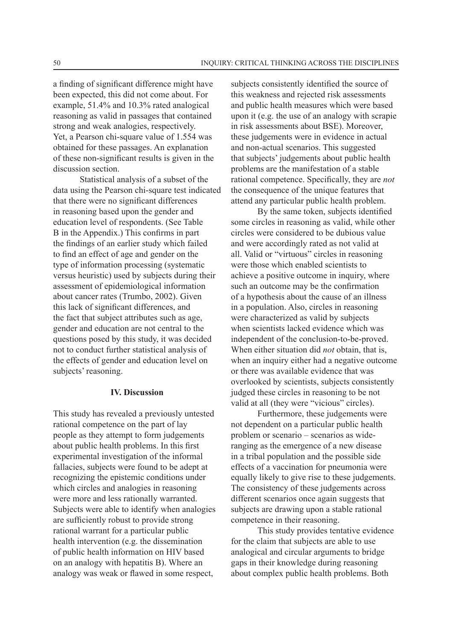a finding of significant difference might have been expected, this did not come about. For example, 51.4% and 10.3% rated analogical reasoning as valid in passages that contained strong and weak analogies, respectively. Yet, a Pearson chi-square value of 1.554 was obtained for these passages. An explanation of these non-significant results is given in the discussion section.

Statistical analysis of a subset of the data using the Pearson chi-square test indicated that there were no significant differences in reasoning based upon the gender and education level of respondents. (See Table B in the Appendix.) This confirms in part the findings of an earlier study which failed to find an effect of age and gender on the type of information processing (systematic versus heuristic) used by subjects during their assessment of epidemiological information about cancer rates (Trumbo, 2002). Given this lack of significant differences, and the fact that subject attributes such as age, gender and education are not central to the questions posed by this study, it was decided not to conduct further statistical analysis of the effects of gender and education level on subjects' reasoning.

#### **IV. Discussion**

This study has revealed a previously untested rational competence on the part of lay people as they attempt to form judgements about public health problems. In this first experimental investigation of the informal fallacies, subjects were found to be adept at recognizing the epistemic conditions under which circles and analogies in reasoning were more and less rationally warranted. Subjects were able to identify when analogies are sufficiently robust to provide strong rational warrant for a particular public health intervention (e.g. the dissemination of public health information on HIV based on an analogy with hepatitis  $B$ ). Where an analogy was weak or flawed in some respect.

subjects consistently identified the source of this weakness and rejected risk assessments and public health measures which were based upon it (e.g. the use of an analogy with scrapie in risk assessments about BSE). Moreover, these judgements were in evidence in actual and non-actual scenarios. This suggested that subjects' judgements about public health problems are the manifestation of a stable rational competence. Specifically, they are *not* the consequence of the unique features that attend any particular public health problem.

By the same token, subjects identified some circles in reasoning as valid, while other circles were considered to be dubious value and were accordingly rated as not valid at all. Valid or "virtuous" circles in reasoning were those which enabled scientists to achieve a positive outcome in inquiry, where such an outcome may be the confirmation of a hypothesis about the cause of an illness in a population. Also, circles in reasoning were characterized as valid by subjects when scientists lacked evidence which was independent of the conclusion-to-be-proved. When either situation did *not* obtain, that is, when an inquiry either had a negative outcome or there was available evidence that was overlooked by scientists, subjects consistently judged these circles in reasoning to be not valid at all (they were "vicious" circles).

Furthermore, these judgements were not dependent on a particular public health problem or scenario – scenarios as wideranging as the emergence of a new disease in a tribal population and the possible side effects of a vaccination for pneumonia were equally likely to give rise to these judgements. The consistency of these judgements across different scenarios once again suggests that subjects are drawing upon a stable rational competence in their reasoning.

This study provides tentative evidence for the claim that subjects are able to use analogical and circular arguments to bridge gaps in their knowledge during reasoning about complex public health problems. Both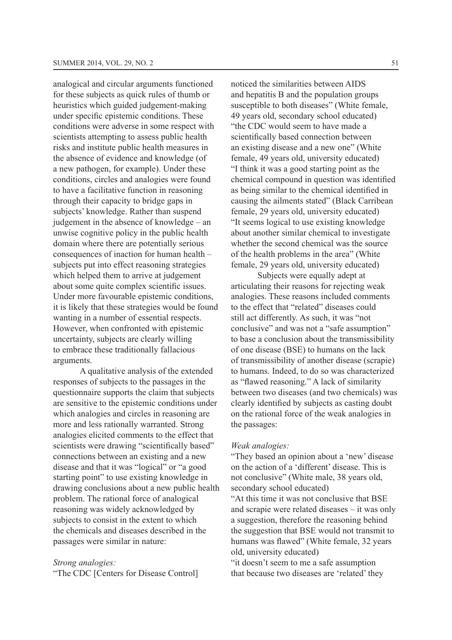analogical and circular arguments functioned for these subjects as quick rules of thumb or heuristics which guided judgement-making under specific epistemic conditions. These conditions were adverse in some respect with scientists attempting to assess public health risks and institute public health measures in the absence of evidence and knowledge (of a new pathogen, for example). Under these conditions, circles and analogies were found to have a facilitative function in reasoning through their capacity to bridge gaps in subjects' knowledge. Rather than suspend judgement in the absence of knowledge – an unwise cognitive policy in the public health domain where there are potentially serious consequences of inaction for human health – subjects put into effect reasoning strategies which helped them to arrive at judgement about some quite complex scientific issues. Under more favourable epistemic conditions, it is likely that these strategies would be found wanting in a number of essential respects. However, when confronted with epistemic uncertainty, subjects are clearly willing to embrace these traditionally fallacious arguments.

A qualitative analysis of the extended responses of subjects to the passages in the questionnaire supports the claim that subjects are sensitive to the epistemic conditions under which analogies and circles in reasoning are more and less rationally warranted. Strong analogies elicited comments to the effect that scientists were drawing "scientifically based" connections between an existing and a new disease and that it was "logical" or "a good starting point" to use existing knowledge in drawing conclusions about a new public health problem. The rational force of analogical reasoning was widely acknowledged by subjects to consist in the extent to which the chemicals and diseases described in the passages were similar in nature:

#### *Strong analogies:*

"The CDC [Centers for Disease Control]

noticed the similarities between AIDS and hepatitis B and the population groups susceptible to both diseases" (White female, 49 years old, secondary school educated) "the CDC would seem to have made a scientifically based connection between an existing disease and a new one" (White female, 49 years old, university educated) "I think it was a good starting point as the chemical compound in question was identified as being similar to the chemical identified in causing the ailments stated" (Black Carribean female, 29 years old, university educated) "It seems logical to use existing knowledge" about another similar chemical to investigate whether the second chemical was the source of the health problems in the area" (White female, 29 years old, university educated)

Subjects were equally adept at articulating their reasons for rejecting weak analogies. These reasons included comments to the effect that "related" diseases could still act differently. As such, it was "not conclusive" and was not a "safe assumption" to base a conclusion about the transmissibility of one disease (BSE) to humans on the lack of transmissibility of another disease (scrapie) to humans. Indeed, to do so was characterized as "flawed reasoning." A lack of similarity between two diseases (and two chemicals) was clearly identified by subjects as casting doubt on the rational force of the weak analogies in the passages:

#### *Weak analogies:*

"They based an opinion about a 'new' disease on the action of a 'different' disease. This is not conclusive" (White male, 38 years old, secondary school educated)

"At this time it was not conclusive that BSE and scrapie were related diseases – it was only a suggestion, therefore the reasoning behind the suggestion that BSE would not transmit to humans was flawed" (White female, 32 years old, university educated)

"it doesn't seem to me a safe assumption that because two diseases are 'related' they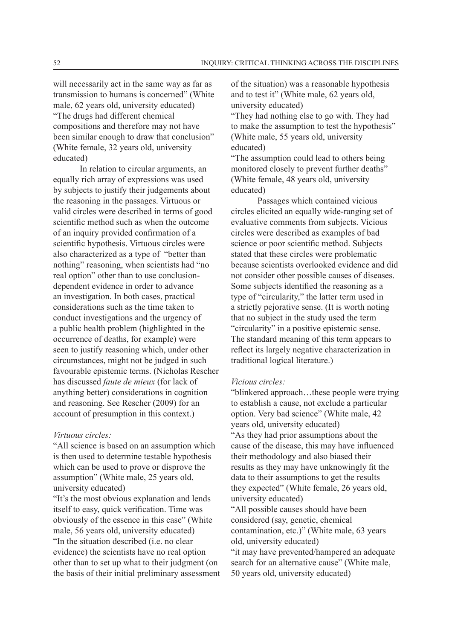will necessarily act in the same way as far as transmission to humans is concerned" (White male,  $62$  vears old, university educated) "The drugs had different chemical compositions and therefore may not have been similar enough to draw that conclusion" (White female,  $32$  years old, university educated)

In relation to circular arguments, an equally rich array of expressions was used by subjects to justify their judgements about the reasoning in the passages. Virtuous or valid circles were described in terms of good scientific method such as when the outcome of an inquiry provided confirmation of a scientific hypothesis. Virtuous circles were also characterized as a type of "better than nothing" reasoning, when scientists had "no real option" other than to use conclusiondependent evidence in order to advance an investigation. In both cases, practical considerations such as the time taken to conduct investigations and the urgency of a public health problem (highlighted in the occurrence of deaths, for example) were seen to justify reasoning which, under other circumstances, might not be judged in such favourable epistemic terms. (Nicholas Rescher has discussed *faute de mieux* (for lack of anything better) considerations in cognition and reasoning. See Rescher  $(2009)$  for an account of presumption in this context.)

#### *Virtuous circles:*

"All science is based on an assumption which is then used to determine testable hypothesis which can be used to prove or disprove the assumption" (White male, 25 years old, university educated)

"It's the most obvious explanation and lends itself to easy, quick verification. Time was obviously of the essence in this case" (White male, 56 years old, university educated) "In the situation described (*i.e.* no clear evidence) the scientists have no real option other than to set up what to their judgment (on the basis of their initial preliminary assessment of the situation) was a reasonable hypothesis and to test it" (White male, 62 years old, university educated)

"They had nothing else to go with. They had to make the assumption to test the hypothesis" (White male, 55 years old, university educated)

"The assumption could lead to others being monitored closely to prevent further deaths" (White female, 48 years old, university educated)

Passages which contained vicious circles elicited an equally wide-ranging set of evaluative comments from subjects. Vicious circles were described as examples of bad science or poor scientific method. Subjects stated that these circles were problematic because scientists overlooked evidence and did not consider other possible causes of diseases. Some subjects identified the reasoning as a type of "circularity," the latter term used in a strictly pejorative sense. (It is worth noting that no subject in the study used the term "circularity" in a positive epistemic sense. The standard meaning of this term appears to reflect its largely negative characterization in traditional logical literature.)

#### *Vicious circles:*

"blinkered approach...these people were trying to establish a cause, not exclude a particular option. Very bad science" (White male, 42) years old, university educated) "As they had prior assumptions about the cause of the disease, this may have influenced their methodology and also biased their results as they may have unknowingly fit the data to their assumptions to get the results they expected" (White female, 26 years old, university educated) "All possible causes should have been considered (say, genetic, chemical contamination, etc.)" (White male, 63 years) old, university educated)

"it may have prevented/hampered an adequate search for an alternative cause" (White male.  $50$  years old, university educated)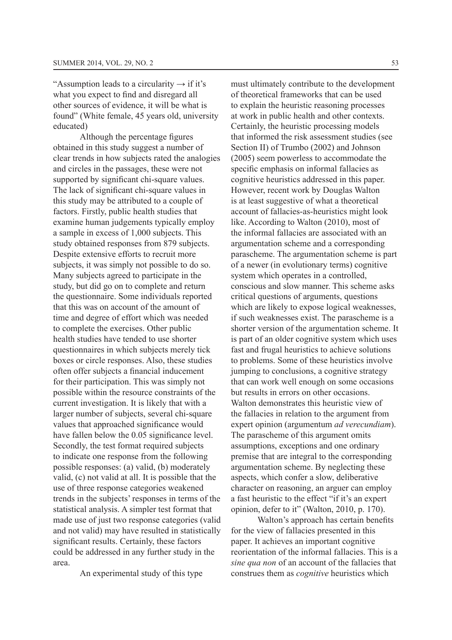"Assumption leads to a circularity  $\rightarrow$  if it's what you expect to find and disregard all other sources of evidence, it will be what is found" (White female, 45 years old, university educated)

Although the percentage figures obtained in this study suggest a number of clear trends in how subjects rated the analogies and circles in the passages, these were not supported by significant chi-square values. The lack of significant chi-square values in this study may be attributed to a couple of factors. Firstly, public health studies that examine human judgements typically employ a sample in excess of 1,000 subjects. This study obtained responses from 879 subjects. Despite extensive efforts to recruit more subjects, it was simply not possible to do so. Many subjects agreed to participate in the study, but did go on to complete and return the questionnaire. Some individuals reported that this was on account of the amount of time and degree of effort which was needed to complete the exercises. Other public health studies have tended to use shorter questionnaires in which subjects merely tick boxes or circle responses. Also, these studies often offer subjects a financial inducement for their participation. This was simply not possible within the resource constraints of the current investigation. It is likely that with a larger number of subjects, several chi-square values that approached significance would have fallen below the  $0.05$  significance level. Secondly, the test format required subjects to indicate one response from the following possible responses: (a) valid, (b) moderately valid, (c) not valid at all. It is possible that the use of three response categories weakened trends in the subjects' responses in terms of the statistical analysis. A simpler test format that made use of just two response categories (valid and not valid) may have resulted in statistically significant results. Certainly, these factors could be addressed in any further study in the area.

An experimental study of this type

must ultimately contribute to the development of theoretical frameworks that can be used to explain the heuristic reasoning processes at work in public health and other contexts. Certainly, the heuristic processing models that informed the risk assessment studies (see Section II) of Trumbo (2002) and Johnson  $(2005)$  seem powerless to accommodate the specific emphasis on informal fallacies as cognitive heuristics addressed in this paper. However, recent work by Douglas Walton is at least suggestive of what a theoretical account of fallacies-as-heuristics might look like. According to Walton  $(2010)$ , most of the informal fallacies are associated with an argumentation scheme and a corresponding parascheme. The argumentation scheme is part of a newer (in evolutionary terms) cognitive system which operates in a controlled, conscious and slow manner. This scheme asks critical questions of arguments, questions which are likely to expose logical weaknesses, if such weaknesses exist. The parascheme is a shorter version of the argumentation scheme. It is part of an older cognitive system which uses fast and frugal heuristics to achieve solutions to problems. Some of these heuristics involve jumping to conclusions, a cognitive strategy that can work well enough on some occasions but results in errors on other occasions. Walton demonstrates this heuristic view of the fallacies in relation to the argument from expert opinion (argumentum *ad verecundiam*). The parascheme of this argument omits assumptions, exceptions and one ordinary premise that are integral to the corresponding argumentation scheme. By neglecting these aspects, which confer a slow, deliberative character on reasoning, an arguer can employ a fast heuristic to the effect "if it's an expert opinion, defer to it" (Walton, 2010, p. 170).

Walton's approach has certain benefits for the view of fallacies presented in this paper. It achieves an important cognitive reorientation of the informal fallacies. This is a *sine qua non* of an account of the fallacies that construes them as *cognitive* heuristics which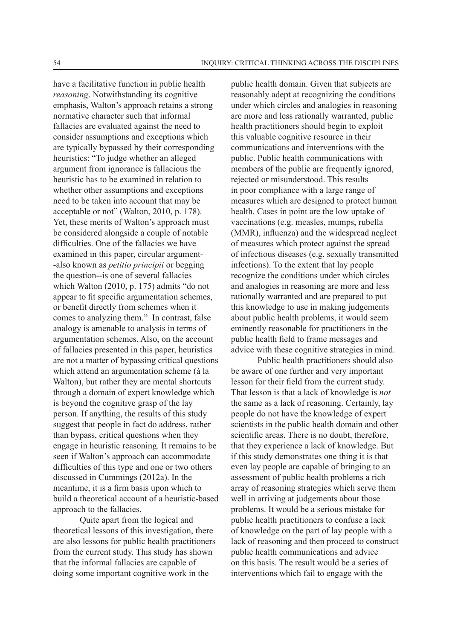have a facilitative function in public health *reasoning*. Notwithstanding its cognitive emphasis, Walton's approach retains a strong normative character such that informal fallacies are evaluated against the need to consider assumptions and exceptions which are typically bypassed by their corresponding heuristics: "To judge whether an alleged argument from ignorance is fallacious the heuristic has to be examined in relation to whether other assumptions and exceptions need to be taken into account that may be acceptable or not" (Walton, 2010, p. 178). Yet, these merits of Walton's approach must be considered alongside a couple of notable difficulties. One of the fallacies we have examined in this paper, circular argument- -also known as *petitio principii* or begging the question--is one of several fallacies which Walton (2010, p. 175) admits "do not appear to fit specific argumentation schemes, or benefit directly from schemes when it comes to analyzing them." In contrast, false analogy is amenable to analysis in terms of argumentation schemes. Also, on the account of fallacies presented in this paper, heuristics are not a matter of bypassing critical questions which attend an argumentation scheme (à la Walton), but rather they are mental shortcuts through a domain of expert knowledge which is beyond the cognitive grasp of the lay person. If anything, the results of this study suggest that people in fact do address, rather than bypass, critical questions when they engage in heuristic reasoning. It remains to be seen if Walton's approach can accommodate difficulties of this type and one or two others discussed in Cummings  $(2012a)$ . In the meantime, it is a firm basis upon which to build a theoretical account of a heuristic-based approach to the fallacies.

Quite apart from the logical and theoretical lessons of this investigation, there are also lessons for public health practitioners from the current study. This study has shown that the informal fallacies are capable of doing some important cognitive work in the

public health domain. Given that subjects are reasonably adept at recognizing the conditions under which circles and analogies in reasoning are more and less rationally warranted, public health practitioners should begin to exploit this valuable cognitive resource in their communications and interventions with the public. Public health communications with members of the public are frequently ignored, rejected or misunderstood. This results in poor compliance with a large range of measures which are designed to protect human health. Cases in point are the low uptake of vaccinations (e.g. measles, mumps, rubella (MMR), influenza) and the widespread neglect of measures which protect against the spread of infectious diseases (e.g. sexually transmitted infections). To the extent that lay people recognize the conditions under which circles and analogies in reasoning are more and less rationally warranted and are prepared to put this knowledge to use in making judgements about public health problems, it would seem eminently reasonable for practitioners in the public health field to frame messages and advice with these cognitive strategies in mind.

Public health practitioners should also be aware of one further and very important lesson for their field from the current study. That lesson is that a lack of knowledge is *not* the same as a lack of reasoning. Certainly, lay people do not have the knowledge of expert scientists in the public health domain and other scientific areas. There is no doubt, therefore, that they experience a lack of knowledge. But if this study demonstrates one thing it is that even lay people are capable of bringing to an assessment of public health problems a rich array of reasoning strategies which serve them well in arriving at judgements about those problems. It would be a serious mistake for public health practitioners to confuse a lack of knowledge on the part of lay people with a lack of reasoning and then proceed to construct public health communications and advice on this basis. The result would be a series of interventions which fail to engage with the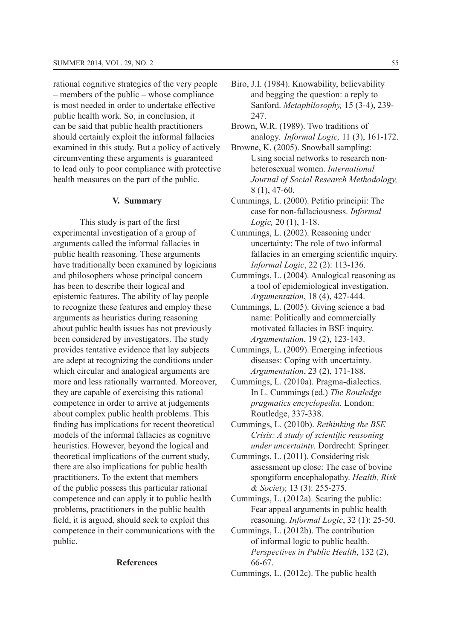rational cognitive strategies of the very people – members of the public – whose compliance is most needed in order to undertake effective public health work. So, in conclusion, it can be said that public health practitioners should certainly exploit the informal fallacies examined in this study. But a policy of actively circumventing these arguments is guaranteed to lead only to poor compliance with protective health measures on the part of the public.

#### **V. Summary**

This study is part of the first experimental investigation of a group of arguments called the informal fallacies in public health reasoning. These arguments have traditionally been examined by logicians and philosophers whose principal concern has been to describe their logical and epistemic features. The ability of lay people to recognize these features and employ these arguments as heuristics during reasoning about public health issues has not previously been considered by investigators. The study provides tentative evidence that lay subjects are adept at recognizing the conditions under which circular and analogical arguments are more and less rationally warranted. Moreover, they are capable of exercising this rational competence in order to arrive at judgements about complex public health problems. This finding has implications for recent theoretical models of the informal fallacies as cognitive heuristics. However, beyond the logical and theoretical implications of the current study, there are also implications for public health practitioners. To the extent that members of the public possess this particular rational competence and can apply it to public health problems, practitioners in the public health field, it is argued, should seek to exploit this competence in their communications with the public.

#### **References**

- Biro, J.I. (1984). Knowability, believability and begging the question: a reply to Sanford. *Metaphilosophy,* 247.
- Brown, W.R. (1989). Two traditions of analogy. *Informal Logic,*
- Browne, K. (2005). Snowball sampling: Using social networks to research nonheterosexual women. *International Journal of Social Research Methodology,*   $8(1), 47-60.$
- Cummings, L. (2000). Petitio principii: The case for non-fallaciousness. *Informal*  Logic, 20 (1), 1-18.
- Cummings, L. (2002). Reasoning under uncertainty: The role of two informal fallacies in an emerging scientific inquiry. *Informal Logic*
- Cummings, L. (2004). Analogical reasoning as a tool of epidemiological investigation. *Argumentation*
- Cummings, L. (2005). Giving science a bad name: Politically and commercially motivated fallacies in BSE inquiry. *Argumentation*
- Cummings, L. (2009). Emerging infectious diseases: Coping with uncertainty. *Argumentation*
- Cummings, L. (2010a). Pragma-dialectics. In L. Cummings (ed.) The Routledge *pragmatics encyclopedia*. London: Routledge, 337-338.
- Cummings, L. (2010b). *Rethinking the BSE Crisis: A study of scientific reasoning under uncertainty.* Dordrecht: Springer.
- Cummings, L. (2011). Considering risk assessment up close: The case of bovine spongiform encephalopathy. *Health, Risk & Society,*
- Cummings, L.  $(2012a)$ . Scaring the public: Fear appeal arguments in public health reasoning. *Informal Logic*
- Cummings, L.  $(2012b)$ . The contribution of informal logic to public health. *Perspectives in Public Health* 66-67.
- Cummings, L.  $(2012c)$ . The public health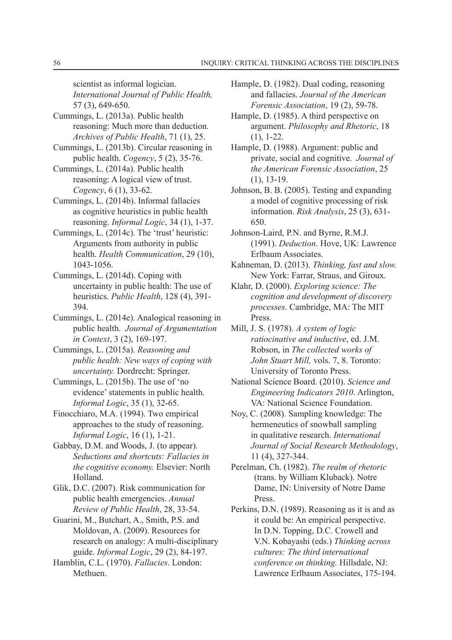scientist as informal logician. *International Journal of Public Health,*  57 (3), 649-650.

- Cummings, L. (2013a). Public health reasoning: Much more than deduction. *Archives of Public Health*
- Cummings, L. (2013b). Circular reasoning in public health. *Cogency*
- Cummings, L.  $(2014a)$ . Public health reasoning: A logical view of trust. *Cogency*
- Cummings, L. (2014b). Informal fallacies as cognitive heuristics in public health reasoning. *Informal Logic*
- Cummings, L. (2014c). The 'trust' heuristic: Arguments from authority in public health. *Health Communication* 1043-1056.
- Cummings, L. (2014d). Coping with uncertainty in public health: The use of heuristics. *Public Health* 394.
- Cummings, L. (2014e). Analogical reasoning in public health. *Journal of Argumentation in Context*, 3 (2), 169-197.
- Cummings, L. (2015a). Reasoning and *public health: New ways of coping with uncertainty.* Dordrecht: Springer.
- Cummings, L.  $(2015b)$ . The use of 'no evidence' statements in public health. *Informal Logic*
- Finocchiaro, M.A. (1994). Two empirical approaches to the study of reasoning. *Informal Logic*, 16 (1), 1-21.
- Gabbay, D.M. and Woods, J. (to appear). *Seductions and shortcuts: Fallacies in the cognitive economy.* Elsevier: North Holland.
- Glik, D.C. (2007). Risk communication for public health emergencies. *Annual Review of Public Health*, 28, 33-54.
- Guarini, M., Butchart, A., Smith, P.S. and Moldovan, A. (2009). Resources for research on analogy: A multi-disciplinary guide. *Informal Logic*
- Hamblin, C.L. (1970). *Fallacies*. London: Methuen.
- Hample, D. (1982). Dual coding, reasoning and fallacies. *Journal of the American Forensic Association*
- Hample, D.  $(1985)$ . A third perspective on argument. *Philosophy and Rhetoric*, 18  $(1), 1-22.$
- Hample, D. (1988). Argument: public and private, social and cognitive. *Journal of the American Forensic Association*, 25  $(1)$ , 13-19.
- Johnson, B. B.  $(2005)$ . Testing and expanding a model of cognitive processing of risk information. *Risk Analysis* 650.
- Johnson-Laird, P.N. and Byrne, R.M.J. (1991). Deduction. Hove, UK: Lawrence Erlbaum Associates.
- Kahneman, D. (2013). Thinking, fast and slow. New York: Farrar, Straus, and Giroux.
- Klahr, D. (2000). *Exploring science: The cognition and development of discovery processes*. Cambridge, MA: The MIT Press.
- Mill, *J. S.* (1978). *A system of logic ratiocinative and inductive, ed. J.M.* Robson, in *The collected works of John Stuart Mill,* vols. 7, 8. Toronto: University of Toronto Press.
- National Science Board. (2010). Science and *Engineering Indicators 2010*. Arlington, VA: National Science Foundation.
- Nov, C. (2008). Sampling knowledge: The hermeneutics of snowball sampling in qualitative research. *International Journal of Social Research Methodology*, 11 (4), 327-344.
- Perelman, Ch. (1982). The realm of rhetoric (trans. by William Kluback). Notre Dame, IN: University of Notre Dame Press.
- Perkins, D.N. (1989). Reasoning as it is and as it could be: An empirical perspective. In D.N. Topping, D.C. Crowell and V.N. Kobayashi (eds.) Thinking across *cultures: The third international conference on thinking.* Hillsdale, NJ: Lawrence Erlbaum Associates, 175-194.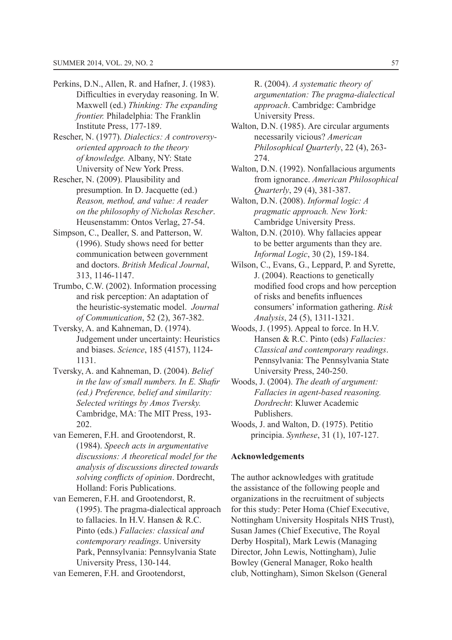- Perkins, D.N., Allen, R. and Hafner, J. (1983). Difficulties in everyday reasoning. In W. Maxwell (ed.) Thinking: The expanding *frontier.* Philadelphia: The Franklin Institute Press, 177-189.
- Rescher, N. (1977). Dialectics: A controversy*oriented approach to the theory of knowledge.* Albany, NY: State University of New York Press.
- Rescher, N. (2009). Plausibility and presumption. In D. Jacquette  $(ed.)$ *Reason, method, and value: A reader on the philosophy of Nicholas Rescher*. Heusenstamm: Ontos Verlag, 27-54.
- Simpson, C., Dealler, S. and Patterson, W.  $(1996)$ . Study shows need for better communication between government and doctors. *British Medical Journal*, 313, 1146-1147.
- Trumbo, C.W. (2002). Information processing and risk perception: An adaptation of the heuristic-systematic model. *Journal of Communication*
- Tversky, A. and Kahneman, D. (1974). Judgement under uncertainty: Heuristics and biases. *Science* 1131.
- Tversky, A. and Kahneman, D. (2004). *Belief in the law of small numbers. In E. Shafir (ed.) Preference, belief and similarity: Selected writings by Amos Tversky.*  Cambridge, MA: The MIT Press, 193- 202.
- van Eemeren, F.H. and Grootendorst, R. *Speech acts in argumentative discussions: A theoretical model for the analysis of discussions directed towards solving conflicts of opinion*. Dordrecht, Holland: Foris Publications.
- van Eemeren, F.H. and Grootendorst, R.  $(1995)$ . The pragma-dialectical approach to fallacies. In H.V. Hansen  $& R.C.$ Pinto (eds.) Fallacies: classical and *contemporary readings*. University Park, Pennsylvania: Pennsylvania State University Press, 130-144.

van Eemeren, F.H. and Grootendorst,

5*A systematic theory of argumentation: The pragma-dialectical approach*. Cambridge: Cambridge University Press.

- Walton, D.N. (1985). Are circular arguments necessarily vicious? *American Philosophical Quarterly* 274.
- Walton, D.N. (1992). Nonfallacious arguments from ignorance. *American Philosophical Quarterly*, 29 (4), 381-387.
- Walton, D.N. (2008). *Informal logic: A pragmatic approach. New York:*  Cambridge University Press.
- Walton, D.N. (2010). Why fallacies appear to be better arguments than they are. *Informal Logic*
- Wilson, C., Evans, G., Leppard, P. and Syrette, J.  $(2004)$ . Reactions to genetically modified food crops and how perception of risks and benefits influences consumers' information gathering. *Risk Analysis*
- Woods, J. (1995). Appeal to force. In H.V. Hansen & R.C. Pinto (eds) *Fallacies*: *Classical and contemporary readings*. Pennsylvania: The Pennsylvania State University Press, 240-250.
- Woods, J. (2004). The death of argument: *Fallacies in agent-based reasoning. Dordrecht*: Kluwer Academic Publishers.
- Woods, J. and Walton, D. (1975). Petitio principia. *Synthese*

#### **Acknowledgements**

The author acknowledges with gratitude the assistance of the following people and organizations in the recruitment of subjects for this study: Peter Homa (Chief Executive, Nottingham University Hospitals NHS Trust). Susan James (Chief Executive, The Roval Derby Hospital), Mark Lewis (Managing) Director, John Lewis, Nottingham), Julie Bowley (General Manager, Roko health club, Nottingham), Simon Skelson (General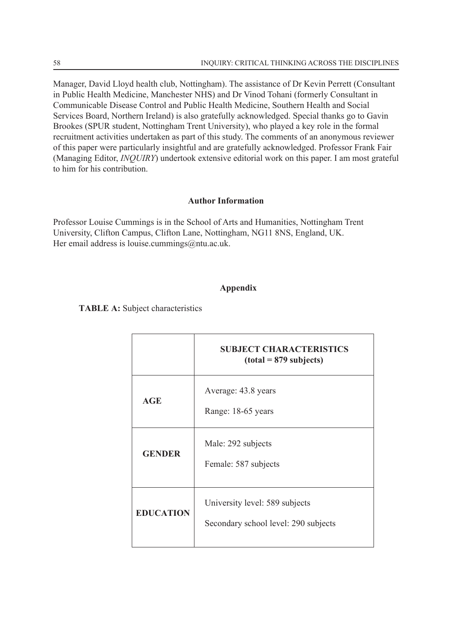Manager, David Lloyd health club, Nottingham). The assistance of Dr Kevin Perrett (Consultant in Public Health Medicine, Manchester NHS) and Dr Vinod Tohani (formerly Consultant in Communicable Disease Control and Public Health Medicine, Southern Health and Social Services Board, Northern Ireland) is also gratefully acknowledged. Special thanks go to Gavin Brookes (SPUR student, Nottingham Trent University), who played a key role in the formal recruitment activities undertaken as part of this study. The comments of an anonymous reviewer of this paper were particularly insightful and are gratefully acknowledged. Professor Frank Fair (Managing Editor, *INQUIRY*) undertook extensive editorial work on this paper. I am most grateful to him for his contribution.

#### **Author Information**

Professor Louise Cummings is in the School of Arts and Humanities, Nottingham Trent University, Clifton Campus, Clifton Lane, Nottingham, NG11 8NS, England, UK. Her email address is louise.cummings@ntu.ac.uk.

# **Appendix**

**TABLE A:** Subject characteristics

|                  | <b>SUBJECT CHARACTERISTICS</b><br>$(total = 879$ subjects)             |
|------------------|------------------------------------------------------------------------|
| <b>AGE</b>       | Average: 43.8 years<br>Range: 18-65 years                              |
| <b>GENDER</b>    | Male: 292 subjects<br>Female: 587 subjects                             |
| <b>EDUCATION</b> | University level: 589 subjects<br>Secondary school level: 290 subjects |